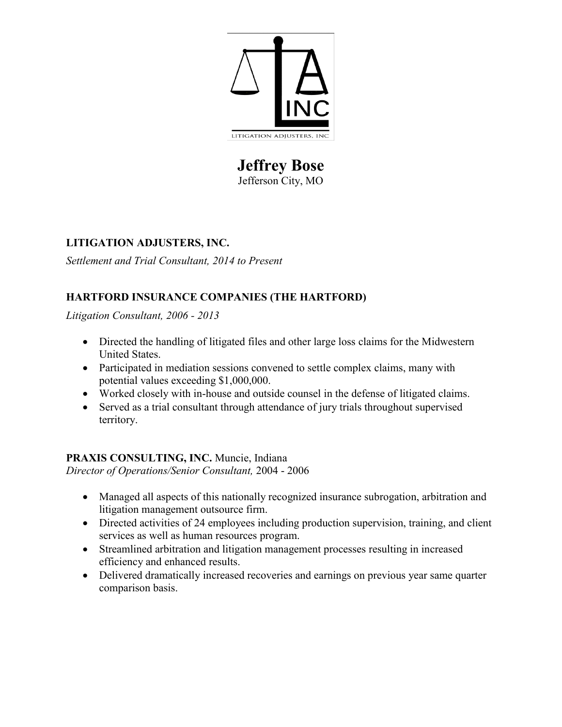

# **Jeffrey Bose** Jefferson City, MO

### **LITIGATION ADJUSTERS, INC.**

*Settlement and Trial Consultant, 2014 to Present*

## **HARTFORD INSURANCE COMPANIES (THE HARTFORD)**

*Litigation Consultant, 2006 - 2013*

- Directed the handling of litigated files and other large loss claims for the Midwestern United States.
- Participated in mediation sessions convened to settle complex claims, many with potential values exceeding \$1,000,000.
- Worked closely with in-house and outside counsel in the defense of litigated claims.
- Served as a trial consultant through attendance of jury trials throughout supervised territory.

### **PRAXIS CONSULTING, INC.** Muncie, Indiana

*Director of Operations/Senior Consultant,* 2004 - 2006

- Managed all aspects of this nationally recognized insurance subrogation, arbitration and litigation management outsource firm.
- Directed activities of 24 employees including production supervision, training, and client services as well as human resources program.
- Streamlined arbitration and litigation management processes resulting in increased efficiency and enhanced results.
- Delivered dramatically increased recoveries and earnings on previous year same quarter comparison basis.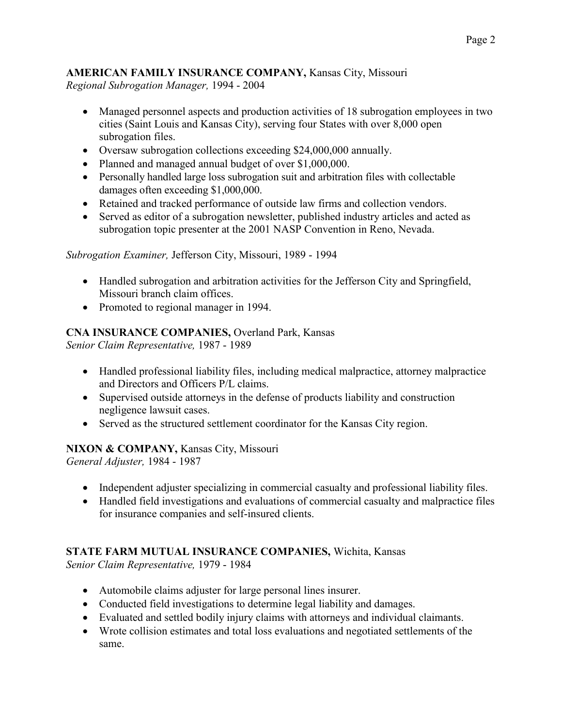### **AMERICAN FAMILY INSURANCE COMPANY,** Kansas City, Missouri *Regional Subrogation Manager,* 1994 - 2004

- Managed personnel aspects and production activities of 18 subrogation employees in two cities (Saint Louis and Kansas City), serving four States with over 8,000 open subrogation files.
- Oversaw subrogation collections exceeding \$24,000,000 annually.
- Planned and managed annual budget of over \$1,000,000.
- Personally handled large loss subrogation suit and arbitration files with collectable damages often exceeding \$1,000,000.
- Retained and tracked performance of outside law firms and collection vendors.
- Served as editor of a subrogation newsletter, published industry articles and acted as subrogation topic presenter at the 2001 NASP Convention in Reno, Nevada.

*Subrogation Examiner,* Jefferson City, Missouri, 1989 - 1994

- Handled subrogation and arbitration activities for the Jefferson City and Springfield, Missouri branch claim offices.
- Promoted to regional manager in 1994.

# **CNA INSURANCE COMPANIES,** Overland Park, Kansas

*Senior Claim Representative,* 1987 - 1989

- Handled professional liability files, including medical malpractice, attorney malpractice and Directors and Officers P/L claims.
- Supervised outside attorneys in the defense of products liability and construction negligence lawsuit cases.
- Served as the structured settlement coordinator for the Kansas City region.

## **NIXON & COMPANY,** Kansas City, Missouri

*General Adjuster,* 1984 - 1987

- Independent adjuster specializing in commercial casualty and professional liability files.
- Handled field investigations and evaluations of commercial casualty and malpractice files for insurance companies and self-insured clients.

# **STATE FARM MUTUAL INSURANCE COMPANIES,** Wichita, Kansas

*Senior Claim Representative,* 1979 - 1984

- Automobile claims adjuster for large personal lines insurer.
- Conducted field investigations to determine legal liability and damages.
- Evaluated and settled bodily injury claims with attorneys and individual claimants.
- Wrote collision estimates and total loss evaluations and negotiated settlements of the same.